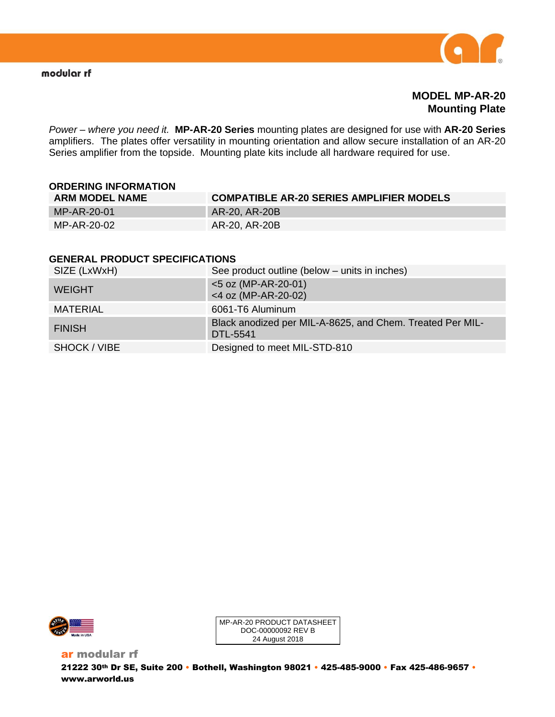

**MODEL MP-AR-20 Mounting Plate**

*Power – where you need it.* **MP-AR-20 Series** mounting plates are designed for use with **AR-20 Series** amplifiers. The plates offer versatility in mounting orientation and allow secure installation of an AR-20 Series amplifier from the topside. Mounting plate kits include all hardware required for use.

| <b>ORDERING INFORMATION</b> |                                                 |
|-----------------------------|-------------------------------------------------|
| <b>ARM MODEL NAME</b>       | <b>COMPATIBLE AR-20 SERIES AMPLIFIER MODELS</b> |
| MP-AR-20-01                 | AR-20, AR-20B                                   |
| MP-AR-20-02                 | AR-20, AR-20B                                   |

#### **GENERAL PRODUCT SPECIFICATIONS**

| SIZE (LxWxH)  | See product outline (below - units in inches)                         |
|---------------|-----------------------------------------------------------------------|
| <b>WEIGHT</b> | $<$ 5 oz (MP-AR-20-01)<br>$<$ 4 oz (MP-AR-20-02)                      |
| MATERIAL      | 6061-T6 Aluminum                                                      |
| <b>FINISH</b> | Black anodized per MIL-A-8625, and Chem. Treated Per MIL-<br>DTL-5541 |
| SHOCK / VIBE  | Designed to meet MIL-STD-810                                          |



MP-AR-20 PRODUCT DATASHEET DOC-00000092 REV B 24 August 2018

ar modular rf 21222 30th Dr SE, Suite 200 • Bothell, Washington 98021 • 425-485-9000 • Fax 425-486-9657 • www.arworld.us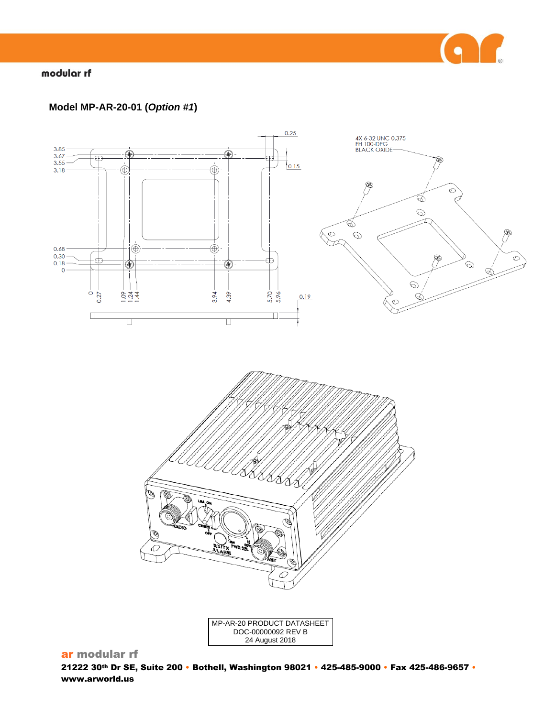

# modular rf

# **Model MP-AR-20-01 (***Option #1***)**





MP-AR-20 PRODUCT DATASHEET DOC-00000092 REV B 24 August 2018

# ar modular rf

21222 30th Dr SE, Suite 200 • Bothell, Washington 98021 • 425-485-9000 • Fax 425-486-9657 • www.arworld.us